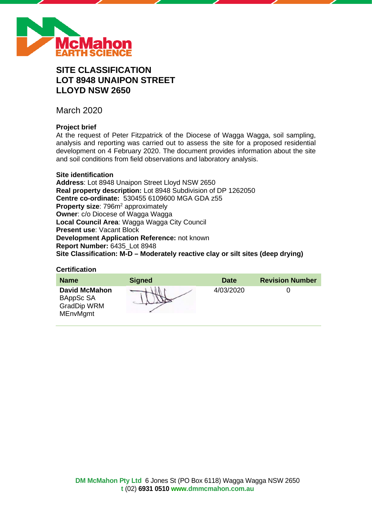

# **SITE CLASSIFICATION LOT 8948 UNAIPON STREET LLOYD NSW 2650**

March 2020

# **Project brief**

At the request of Peter Fitzpatrick of the Diocese of Wagga Wagga, soil sampling, analysis and reporting was carried out to assess the site for a proposed residential development on 4 February 2020. The document provides information about the site and soil conditions from field observations and laboratory analysis.

# **Site identification**

**Address**: Lot 8948 Unaipon Street Lloyd NSW 2650 **Real property description:** Lot 8948 Subdivision of DP 1262050 **Centre co-ordinate:** 530455 6109600 MGA GDA z55 **Property size: 796m<sup>2</sup> approximately Owner**: c/o Diocese of Wagga Wagga **Local Council Area**: Wagga Wagga City Council **Present use**: Vacant Block **Development Application Reference:** not known **Report Number:** 6435\_Lot 8948 **Site Classification: M-D – Moderately reactive clay or silt sites (deep drying)**

# **Certification**

| <b>Name</b>                                                                | <b>Signed</b> | <b>Date</b> | <b>Revision Number</b> |
|----------------------------------------------------------------------------|---------------|-------------|------------------------|
| <b>David McMahon</b><br>BAppSc SA<br><b>GradDip WRM</b><br><b>MEnvMgmt</b> |               | 4/03/2020   |                        |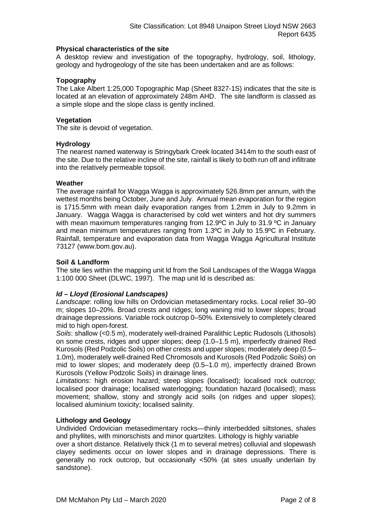### **Physical characteristics of the site**

A desktop review and investigation of the topography, hydrology, soil, lithology, geology and hydrogeology of the site has been undertaken and are as follows:

# **Topography**

The Lake Albert 1:25,000 Topographic Map (Sheet 8327-1S) indicates that the site is located at an elevation of approximately 248m AHD. The site landform is classed as a simple slope and the slope class is gently inclined.

### **Vegetation**

The site is devoid of vegetation.

### **Hydrology**

The nearest named waterway is Stringybark Creek located 3414m to the south east of the site. Due to the relative incline of the site, rainfall is likely to both run off and infiltrate into the relatively permeable topsoil.

### **Weather**

The average rainfall for Wagga Wagga is approximately 526.8mm per annum, with the wettest months being October, June and July. Annual mean evaporation for the region is 1715.5mm with mean daily evaporation ranges from 1.2mm in July to 9.2mm in January. Wagga Wagga is characterised by cold wet winters and hot dry summers with mean maximum temperatures ranging from 12.9°C in July to 31.9 °C in January and mean minimum temperatures ranging from 1.3ºC in July to 15.9ºC in February. Rainfall, temperature and evaporation data from Wagga Wagga Agricultural Institute 73127 (www.bom.gov.au).

### **Soil & Landform**

The site lies within the mapping unit ld from the Soil Landscapes of the Wagga Wagga 1:100 000 Sheet (DLWC, 1997). The map unit ld is described as:

# *ld – Lloyd (Erosional Landscapes)*

*Landscape*: rolling low hills on Ordovician metasedimentary rocks. Local relief 30–90 m; slopes 10–20%. Broad crests and ridges; long waning mid to lower slopes; broad drainage depressions. Variable rock outcrop 0–50%. Extensively to completely cleared mid to high open-forest.

*Soils*: shallow (<0.5 m), moderately well-drained Paralithic Leptic Rudosols (Lithosols) on some crests, ridges and upper slopes; deep (1.0–1.5 m), imperfectly drained Red Kurosols (Red Podzolic Soils) on other crests and upper slopes; moderately deep (0.5– 1.0m), moderately well-drained Red Chromosols and Kurosols (Red Podzolic Soils) on mid to lower slopes; and moderately deep (0.5–1.0 m), imperfectly drained Brown Kurosols (Yellow Podzolic Soils) in drainage lines.

*Limitations*: high erosion hazard; steep slopes (localised); localised rock outcrop; localised poor drainage; localised waterlogging; foundation hazard (localised); mass movement; shallow, stony and strongly acid soils (on ridges and upper slopes); localised aluminium toxicity; localised salinity.

# **Lithology and Geology**

Undivided Ordovician metasedimentary rocks—thinly interbedded siltstones, shales and phyllites, with minorschists and minor quartzites. Lithology is highly variable

over a short distance. Relatively thick (1 m to several metres) colluvial and slopewash clayey sediments occur on lower slopes and in drainage depressions. There is generally no rock outcrop, but occasionally <50% (at sites usually underlain by sandstone).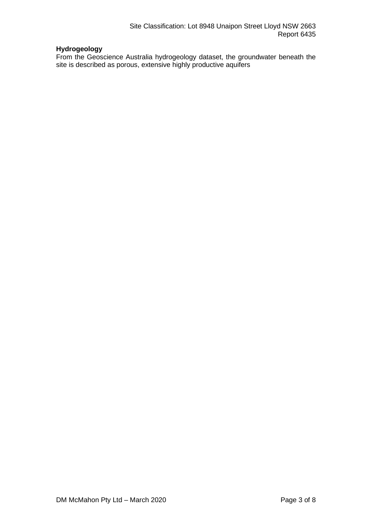# **Hydrogeology**

From the Geoscience Australia hydrogeology dataset, the groundwater beneath the site is described as porous, extensive highly productive aquifers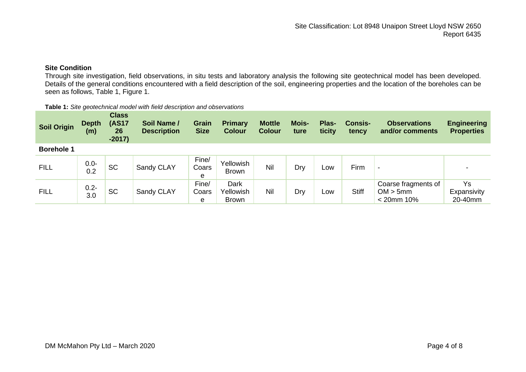# **Site Condition**

Through site investigation, field observations, in situ tests and laboratory analysis the following site geotechnical model has been developed. Details of the general conditions encountered with a field description of the soil, engineering properties and the location of the boreholes can be seen as follows, Table 1, Figure 1.

| <b>Soil Origin</b> | <b>Depth</b><br>(m) | <b>Class</b><br><b>(AS17</b><br>26<br>$-2017)$ | Soil Name /<br><b>Description</b> | Grain<br><b>Size</b> | <b>Primary</b><br><b>Colour</b>   | <b>Mottle</b><br><b>Colour</b> | <b>Mois-</b><br>ture | Plas-<br>ticity | <b>Consis-</b><br>tency | <b>Observations</b><br>and/or comments           | <b>Engineering</b><br><b>Properties</b> |
|--------------------|---------------------|------------------------------------------------|-----------------------------------|----------------------|-----------------------------------|--------------------------------|----------------------|-----------------|-------------------------|--------------------------------------------------|-----------------------------------------|
| <b>Borehole 1</b>  |                     |                                                |                                   |                      |                                   |                                |                      |                 |                         |                                                  |                                         |
| <b>FILL</b>        | $0.0 -$<br>0.2      | <b>SC</b>                                      | Sandy CLAY                        | Fine/<br>Coars<br>e  | <b>Yellowish</b><br><b>Brown</b>  | Nil                            | Dry                  | Low             | Firm                    | $\overline{\phantom{0}}$                         |                                         |
| <b>FILL</b>        | $0.2 -$<br>3.0      | <b>SC</b>                                      | Sandy CLAY                        | Fine/<br>Coars<br>e  | Dark<br>Yellowish<br><b>Brown</b> | Nil                            | Dry                  | LOW             | <b>Stiff</b>            | Coarse fragments of<br>OM > 5mm<br>$< 20$ mm 10% | Ys<br>Expansivity<br>20-40mm            |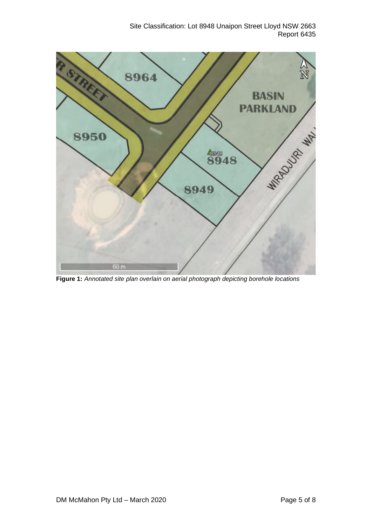# Site Classification: Lot 8948 Unaipon Street Lloyd NSW 2663 Report 6435



**Figure 1:** *Annotated site plan overlain on aerial photograph depicting borehole locations*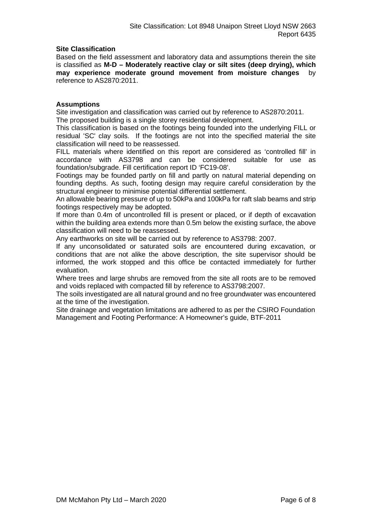### **Site Classification**

Based on the field assessment and laboratory data and assumptions therein the site is classified as **M-D – Moderately reactive clay or silt sites (deep drying), which may experience moderate ground movement from moisture changes** by reference to AS2870:2011.

### **Assumptions**

Site investigation and classification was carried out by reference to AS2870:2011. The proposed building is a single storey residential development.

This classification is based on the footings being founded into the underlying FILL or residual 'SC' clay soils. If the footings are not into the specified material the site classification will need to be reassessed.

FILL materials where identified on this report are considered as 'controlled fill' in accordance with AS3798 and can be considered suitable for use as foundation/subgrade. Fill certification report ID 'FC19-08'.

Footings may be founded partly on fill and partly on natural material depending on founding depths. As such, footing design may require careful consideration by the structural engineer to minimise potential differential settlement.

An allowable bearing pressure of up to 50kPa and 100kPa for raft slab beams and strip footings respectively may be adopted.

If more than 0.4m of uncontrolled fill is present or placed, or if depth of excavation within the building area extends more than 0.5m below the existing surface, the above classification will need to be reassessed.

Any earthworks on site will be carried out by reference to AS3798: 2007.

If any unconsolidated or saturated soils are encountered during excavation, or conditions that are not alike the above description, the site supervisor should be informed, the work stopped and this office be contacted immediately for further evaluation.

Where trees and large shrubs are removed from the site all roots are to be removed and voids replaced with compacted fill by reference to AS3798:2007.

The soils investigated are all natural ground and no free groundwater was encountered at the time of the investigation.

Site drainage and vegetation limitations are adhered to as per the CSIRO Foundation Management and Footing Performance: A Homeowner's guide, BTF-2011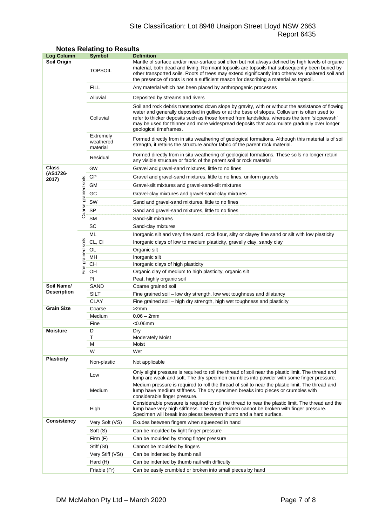# Site Classification: Lot 8948 Unaipon Street Lloyd NSW 2663 Report 6435

| <b>Log Column</b>  |                      | <b>Symbol</b>                                                                                                                                                                                                              | <b>Definition</b>                                                                                                                                                                                                                                                                                                                                                                                                          |  |  |
|--------------------|----------------------|----------------------------------------------------------------------------------------------------------------------------------------------------------------------------------------------------------------------------|----------------------------------------------------------------------------------------------------------------------------------------------------------------------------------------------------------------------------------------------------------------------------------------------------------------------------------------------------------------------------------------------------------------------------|--|--|
| Soil Origin        |                      | <b>TOPSOIL</b>                                                                                                                                                                                                             | Mantle of surface and/or near-surface soil often but not always defined by high levels of organic<br>material, both dead and living. Remnant topsoils are topsoils that subsequently been buried by<br>other transported soils. Roots of trees may extend significantly into otherwise unaltered soil and<br>the presence of roots is not a sufficient reason for describing a material as topsoil.                        |  |  |
|                    |                      | <b>FILL</b>                                                                                                                                                                                                                | Any material which has been placed by anthropogenic processes                                                                                                                                                                                                                                                                                                                                                              |  |  |
|                    |                      | Alluvial                                                                                                                                                                                                                   | Deposited by streams and rivers                                                                                                                                                                                                                                                                                                                                                                                            |  |  |
|                    |                      | Colluvial                                                                                                                                                                                                                  | Soil and rock debris transported down slope by gravity, with or without the assistance of flowing<br>water and generally deposited in gullies or at the base of slopes. Colluvium is often used to<br>refer to thicker deposits such as those formed from landslides, whereas the term 'slopewash'<br>may be used for thinner and more widespread deposits that accumulate gradually over longer<br>geological timeframes. |  |  |
|                    |                      | Extremely<br>Formed directly from in situ weathering of geological formations. Although this material is of soil<br>weathered<br>strength, it retains the structure and/or fabric of the parent rock material.<br>material |                                                                                                                                                                                                                                                                                                                                                                                                                            |  |  |
|                    |                      | Residual                                                                                                                                                                                                                   | Formed directly from in situ weathering of geological formations. These soils no longer retain<br>any visible structure or fabric of the parent soil or rock material                                                                                                                                                                                                                                                      |  |  |
| Class              |                      | GW                                                                                                                                                                                                                         | Gravel and gravel-sand mixtures, little to no fines                                                                                                                                                                                                                                                                                                                                                                        |  |  |
| (AS1726-<br>2017)  |                      | GP                                                                                                                                                                                                                         | Gravel and gravel-sand mixtures, little to no fines, uniform gravels                                                                                                                                                                                                                                                                                                                                                       |  |  |
|                    |                      | GМ<br>Gravel-silt mixtures and gravel-sand-silt mixtures                                                                                                                                                                   |                                                                                                                                                                                                                                                                                                                                                                                                                            |  |  |
|                    |                      | GC                                                                                                                                                                                                                         | Gravel-clay mixtures and gravel-sand-clay mixtures                                                                                                                                                                                                                                                                                                                                                                         |  |  |
|                    |                      | SW                                                                                                                                                                                                                         | Sand and gravel-sand mixtures, little to no fines                                                                                                                                                                                                                                                                                                                                                                          |  |  |
|                    |                      | SP                                                                                                                                                                                                                         | Sand and gravel-sand mixtures, little to no fines                                                                                                                                                                                                                                                                                                                                                                          |  |  |
|                    | Coarse grained soils | <b>SM</b>                                                                                                                                                                                                                  |                                                                                                                                                                                                                                                                                                                                                                                                                            |  |  |
|                    |                      | SC                                                                                                                                                                                                                         | Sand-silt mixtures                                                                                                                                                                                                                                                                                                                                                                                                         |  |  |
|                    |                      | ML                                                                                                                                                                                                                         | Sand-clay mixtures                                                                                                                                                                                                                                                                                                                                                                                                         |  |  |
|                    |                      | CL, CI                                                                                                                                                                                                                     | Inorganic silt and very fine sand, rock flour, silty or clayey fine sand or silt with low plasticity                                                                                                                                                                                                                                                                                                                       |  |  |
|                    |                      |                                                                                                                                                                                                                            | Inorganic clays of low to medium plasticity, gravelly clay, sandy clay                                                                                                                                                                                                                                                                                                                                                     |  |  |
|                    |                      | OL<br>MН                                                                                                                                                                                                                   | Organic silt<br>Inorganic silt                                                                                                                                                                                                                                                                                                                                                                                             |  |  |
|                    |                      | CН                                                                                                                                                                                                                         | Inorganic clays of high plasticity                                                                                                                                                                                                                                                                                                                                                                                         |  |  |
|                    | Fine grained soils   | OH                                                                                                                                                                                                                         | Organic clay of medium to high plasticity, organic silt                                                                                                                                                                                                                                                                                                                                                                    |  |  |
|                    |                      | Pt                                                                                                                                                                                                                         | Peat, highly organic soil                                                                                                                                                                                                                                                                                                                                                                                                  |  |  |
| Soil Name/         |                      | SAND                                                                                                                                                                                                                       | Coarse grained soil                                                                                                                                                                                                                                                                                                                                                                                                        |  |  |
| <b>Description</b> |                      | <b>SILT</b>                                                                                                                                                                                                                | Fine grained soil - low dry strength, low wet toughness and dilatancy                                                                                                                                                                                                                                                                                                                                                      |  |  |
|                    |                      | <b>CLAY</b>                                                                                                                                                                                                                | Fine grained soil - high dry strength, high wet toughness and plasticity                                                                                                                                                                                                                                                                                                                                                   |  |  |
| <b>Grain Size</b>  |                      | Coarse                                                                                                                                                                                                                     | >2mm                                                                                                                                                                                                                                                                                                                                                                                                                       |  |  |
|                    |                      | Medium                                                                                                                                                                                                                     | $0.06 - 2mm$                                                                                                                                                                                                                                                                                                                                                                                                               |  |  |
|                    |                      | Fine                                                                                                                                                                                                                       | <0.06mm                                                                                                                                                                                                                                                                                                                                                                                                                    |  |  |
| <b>Moisture</b>    |                      | D                                                                                                                                                                                                                          | Dry                                                                                                                                                                                                                                                                                                                                                                                                                        |  |  |
|                    |                      | Τ<br>М                                                                                                                                                                                                                     | <b>Moderately Moist</b><br>Moist                                                                                                                                                                                                                                                                                                                                                                                           |  |  |
|                    |                      | W                                                                                                                                                                                                                          | Wet                                                                                                                                                                                                                                                                                                                                                                                                                        |  |  |
| <b>Plasticity</b>  |                      | Non-plastic                                                                                                                                                                                                                | Not applicable                                                                                                                                                                                                                                                                                                                                                                                                             |  |  |
|                    | Low                  | Only slight pressure is required to roll the thread of soil near the plastic limit. The thread and<br>lump are weak and soft. The dry specimen crumbles into powder with some finger pressure.                             |                                                                                                                                                                                                                                                                                                                                                                                                                            |  |  |
|                    |                      | Medium                                                                                                                                                                                                                     | Medium pressure is required to roll the thread of soil to near the plastic limit. The thread and<br>lump have medium stiffness. The dry specimen breaks into pieces or crumbles with<br>considerable finger pressure.                                                                                                                                                                                                      |  |  |
|                    |                      | High                                                                                                                                                                                                                       | Considerable pressure is required to roll the thread to near the plastic limit. The thread and the<br>lump have very high stiffness. The dry specimen cannot be broken with finger pressure.<br>Specimen will break into pieces between thumb and a hard surface.                                                                                                                                                          |  |  |
| <b>Consistency</b> |                      | Very Soft (VS)                                                                                                                                                                                                             | Exudes between fingers when squeezed in hand                                                                                                                                                                                                                                                                                                                                                                               |  |  |
|                    |                      | Soft (S)                                                                                                                                                                                                                   | Can be moulded by light finger pressure                                                                                                                                                                                                                                                                                                                                                                                    |  |  |
|                    |                      | Firm $(F)$                                                                                                                                                                                                                 | Can be moulded by strong finger pressure                                                                                                                                                                                                                                                                                                                                                                                   |  |  |
|                    |                      | Stiff (St)                                                                                                                                                                                                                 | Cannot be moulded by fingers                                                                                                                                                                                                                                                                                                                                                                                               |  |  |
|                    |                      | Very Stiff (VSt)                                                                                                                                                                                                           | Can be indented by thumb nail                                                                                                                                                                                                                                                                                                                                                                                              |  |  |
|                    |                      | Hard (H)                                                                                                                                                                                                                   | Can be indented by thumb nail with difficulty                                                                                                                                                                                                                                                                                                                                                                              |  |  |
|                    |                      | Friable (Fr)                                                                                                                                                                                                               | Can be easily crumbled or broken into small pieces by hand                                                                                                                                                                                                                                                                                                                                                                 |  |  |

# **Notes Relating to Results**